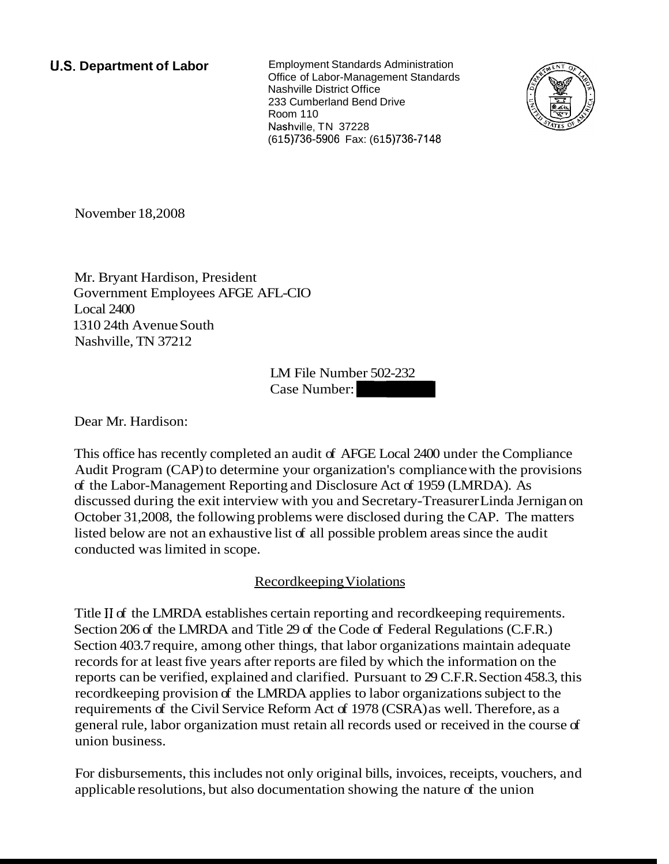**U.S. Department of Labor** Employment Standards Administration Office of Labor-Management Standards Nashville District Office 233 Cumberland Bend Drive **Room 110** Nashville, TN 37228 (61 5)736-5906 Fax: (61 5)736-7148



November 18,2008

Mr. Bryant Hardison, President Government Employees AFGE AFL-CIO Local 2400 1310 24th Avenue South Nashville, TN 37212

LM File Number 502-232 FL-CIO<br>LM File Number 502-232<br>Case Number:

Dear Mr. Hardison:

This office has recently completed an audit of AFGE Local 2400 under the Compliance Audit Program (CAP) to determine your organization's compliance with the provisions of the Labor-Management Reporting and Disclosure Act of 1959 (LMRDA). As discussed during the exit interview with you and Secretary-Treasurer Linda Jernigan on October 31,2008, the following problems were disclosed during the CAP. The matters listed below are not an exhaustive list of all possible problem areas since the audit conducted was limited in scope.

# Recordkeeping Violations

Title I1 of the LMRDA establishes certain reporting and recordkeeping requirements. Section 206 of the LMRDA and Title 29 of the Code of Federal Regulations (C.F.R.) Section 403.7 require, among other things, that labor organizations maintain adequate records for at least five years after reports are filed by which the information on the reports can be verified, explained and clarified. Pursuant to 29 C.F.R. Section 458.3, this recordkeeping provision of the LMRDA applies to labor organizations subject to the requirements of the Civil Service Reform Act of 1978 (CSRA) as well. Therefore, as a general rule, labor organization must retain all records used or received in the course of union business.

For disbursements, this includes not only original bills, invoices, receipts, vouchers, and applicable resolutions, but also documentation showing the nature of the union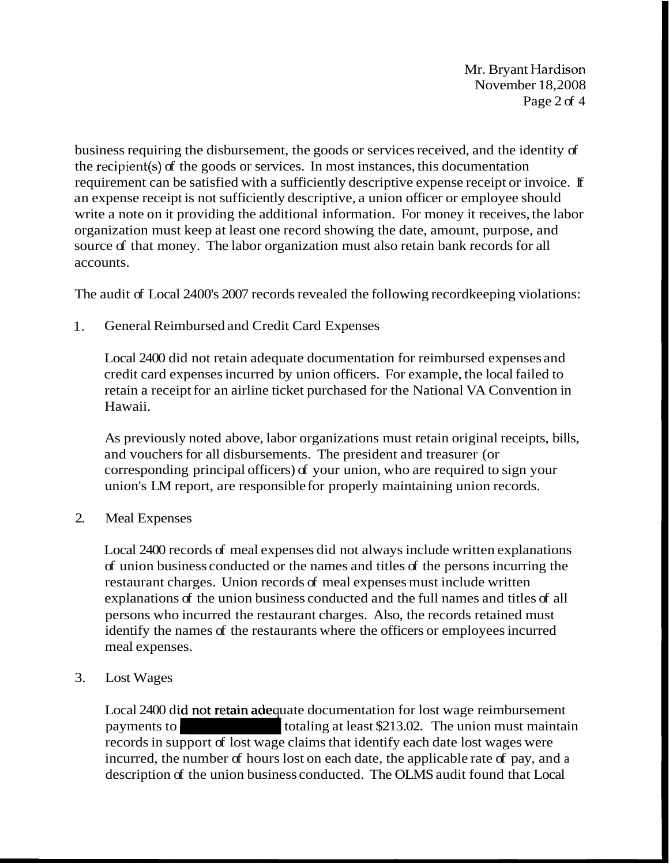Mr. Brvant Hardison November 18,2008 Page 2 of 4

business requiring the disbursement, the goods or services received, and the identity of the recipient(s) of the goods or services. In most instances, this documentation requirement can be satisfied with a sufficiently descriptive expense receipt or invoice. If an expense receipt is not sufficiently descriptive, a union officer or employee should write a note on it providing the additional information. For money it receives, the labor organization must keep at least one record showing the date, amount, purpose, and source of that money. The labor organization must also retain bank records for all accounts.

The audit of Local 2400's 2007 records revealed the following recordkeeping violations:

1. General Reimbursed and Credit Card Expenses

Local 2400 did not retain adequate documentation for reimbursed expenses and credit card expenses incurred by union officers. For example, the local failed to retain a receipt for an airline ticket purchased for the National VA Convention in Hawaii.

As previously noted above, labor organizations must retain original receipts, bills, and vouchers for all disbursements. The president and treasurer (or corresponding principal officers) of your union, who are required to sign your union's LM report, are responsible for properly maintaining union records.

2. Meal Expenses

Local 2400 records of meal expenses did not always include written explanations of union business conducted or the names and titles of the persons incurring the restaurant charges. Union records of meal expenses must include written explanations of the union business conducted and the full names and titles of all persons who incurred the restaurant charges. Also, the records retained must identify the names of the restaurants where the officers or employees incurred meal expenses. of union business conducted or the names and titles of the persons incurring the<br>restaurant charges. Union records of meal expenses must include written<br>explanations of the union business conducted and the full names and

3. Lost Wages

Local 2400 did not retain adequate documentation for lost wage reimbursement records in support of lost wage claims that identify each date lost wages were incurred, the number of hours lost on each date, the applicable rate of pay, and a description of the union business conducted. The OLMS audit found that Local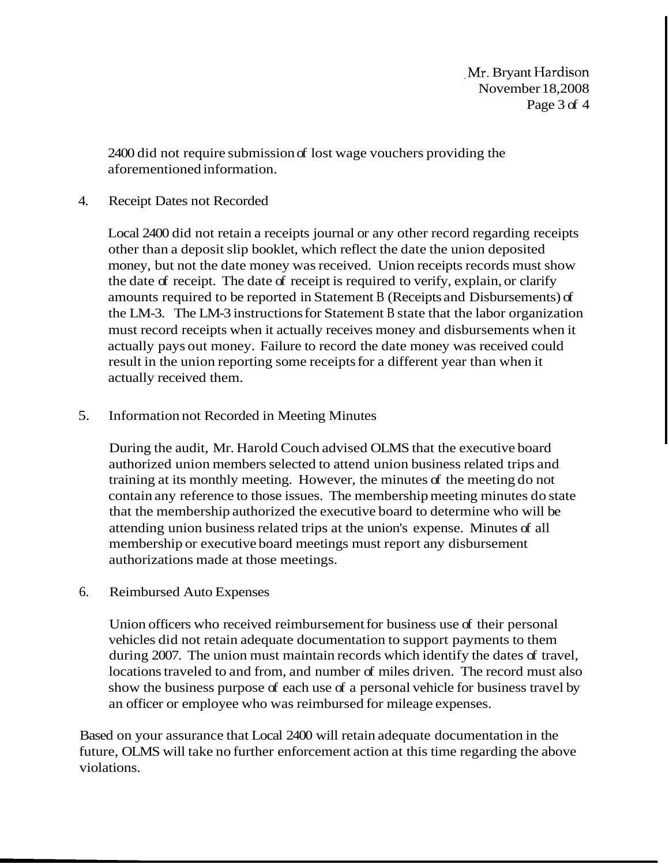,Mr. Bryant Hardison November 18,2008 Page 3 of 4

2400 did not require submission of lost wage vouchers providing the aforementioned information.

### 4. Receipt Dates not Recorded

Local 2400 did not retain a receipts journal or any other record regarding receipts other than a deposit slip booklet, which reflect the date the union deposited money, but not the date money was received. Union receipts records must show the date of receipt. The date of receipt is required to verify, explain, or clarify amounts required to be reported in Statement B (Receipts and Disbursements) of the LM-3. The LM-3 instructions for Statement B state that the labor organization must record receipts when it actually receives money and disbursements when it actually pays out money. Failure to record the date money was received could result in the union reporting some receipts for a different year than when it actually received them.

# 5. Information not Recorded in Meeting Minutes

During the audit, Mr. Harold Couch advised OLMS that the executive board authorized union members selected to attend union business related trips and training at its monthly meeting. However, the minutes of the meeting do not contain any reference to those issues. The membership meeting minutes do state that the membership authorized the executive board to determine who will be attending union business related trips at the union's expense. Minutes of all membership or executive board meetings must report any disbursement authorizations made at those meetings.

### 6. Reimbursed Auto Expenses

Union officers who received reimbursement for business use of their personal vehicles did not retain adequate documentation to support payments to them during 2007. The union must maintain records which identify the dates of travel, locations traveled to and from, and number of miles driven. The record must also show the business purpose of each use of a personal vehicle for business travel by an officer or employee who was reimbursed for mileage expenses.

Based on your assurance that Local 2400 will retain adequate documentation in the future, OLMS will take no further enforcement action at this time regarding the above violations.